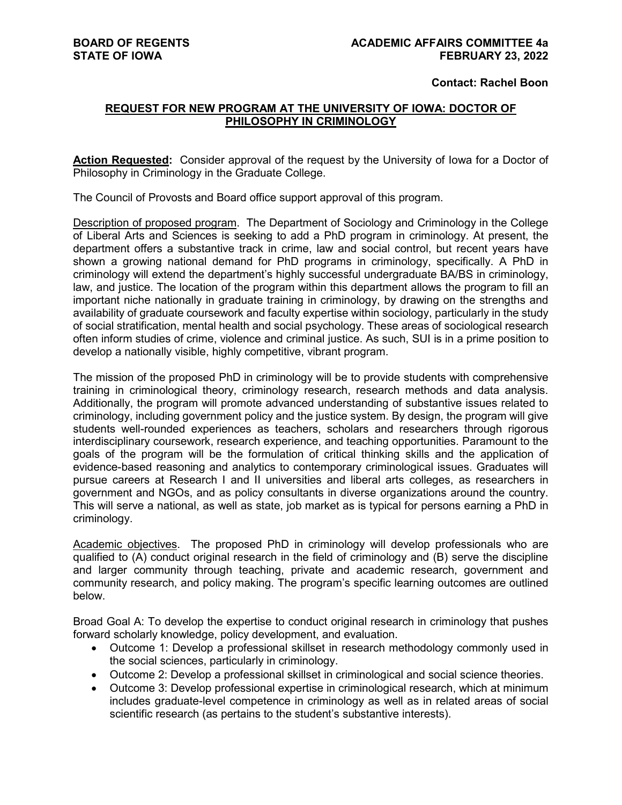#### **Contact: Rachel Boon**

### **REQUEST FOR NEW PROGRAM AT THE UNIVERSITY OF IOWA: DOCTOR OF PHILOSOPHY IN CRIMINOLOGY**

**Action Requested:** Consider approval of the request by the University of Iowa for a Doctor of Philosophy in Criminology in the Graduate College.

The Council of Provosts and Board office support approval of this program.

Description of proposed program. The Department of Sociology and Criminology in the College of Liberal Arts and Sciences is seeking to add a PhD program in criminology. At present, the department offers a substantive track in crime, law and social control, but recent years have shown a growing national demand for PhD programs in criminology, specifically. A PhD in criminology will extend the department's highly successful undergraduate BA/BS in criminology, law, and justice. The location of the program within this department allows the program to fill an important niche nationally in graduate training in criminology, by drawing on the strengths and availability of graduate coursework and faculty expertise within sociology, particularly in the study of social stratification, mental health and social psychology. These areas of sociological research often inform studies of crime, violence and criminal justice. As such, SUI is in a prime position to develop a nationally visible, highly competitive, vibrant program.

The mission of the proposed PhD in criminology will be to provide students with comprehensive training in criminological theory, criminology research, research methods and data analysis. Additionally, the program will promote advanced understanding of substantive issues related to criminology, including government policy and the justice system. By design, the program will give students well-rounded experiences as teachers, scholars and researchers through rigorous interdisciplinary coursework, research experience, and teaching opportunities. Paramount to the goals of the program will be the formulation of critical thinking skills and the application of evidence-based reasoning and analytics to contemporary criminological issues. Graduates will pursue careers at Research I and II universities and liberal arts colleges, as researchers in government and NGOs, and as policy consultants in diverse organizations around the country. This will serve a national, as well as state, job market as is typical for persons earning a PhD in criminology.

Academic objectives. The proposed PhD in criminology will develop professionals who are qualified to (A) conduct original research in the field of criminology and (B) serve the discipline and larger community through teaching, private and academic research, government and community research, and policy making. The program's specific learning outcomes are outlined below.

Broad Goal A: To develop the expertise to conduct original research in criminology that pushes forward scholarly knowledge, policy development, and evaluation.

- Outcome 1: Develop a professional skillset in research methodology commonly used in the social sciences, particularly in criminology.
- Outcome 2: Develop a professional skillset in criminological and social science theories.
- Outcome 3: Develop professional expertise in criminological research, which at minimum includes graduate-level competence in criminology as well as in related areas of social scientific research (as pertains to the student's substantive interests).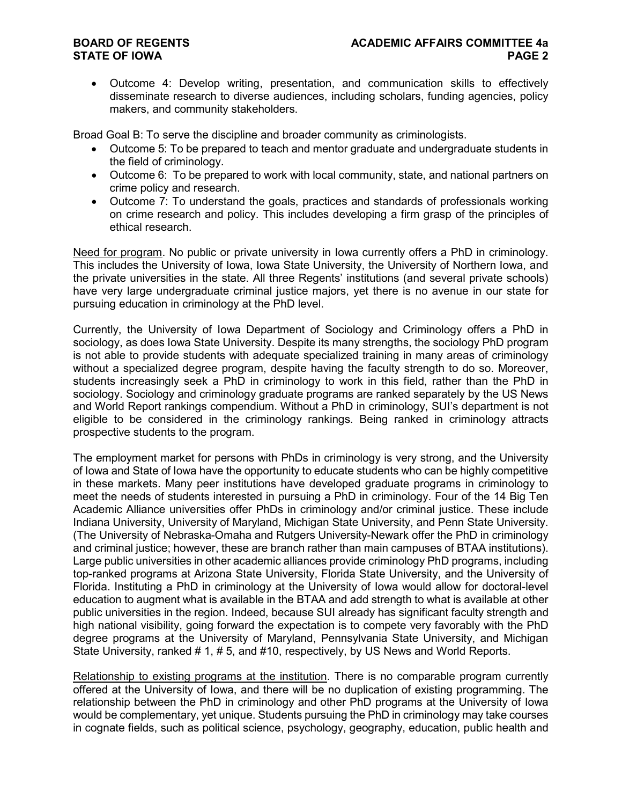• Outcome 4: Develop writing, presentation, and communication skills to effectively disseminate research to diverse audiences, including scholars, funding agencies, policy makers, and community stakeholders.

Broad Goal B: To serve the discipline and broader community as criminologists.

- Outcome 5: To be prepared to teach and mentor graduate and undergraduate students in the field of criminology.
- Outcome 6: To be prepared to work with local community, state, and national partners on crime policy and research.
- Outcome 7: To understand the goals, practices and standards of professionals working on crime research and policy. This includes developing a firm grasp of the principles of ethical research.

Need for program. No public or private university in Iowa currently offers a PhD in criminology. This includes the University of Iowa, Iowa State University, the University of Northern Iowa, and the private universities in the state. All three Regents' institutions (and several private schools) have very large undergraduate criminal justice majors, yet there is no avenue in our state for pursuing education in criminology at the PhD level.

Currently, the University of Iowa Department of Sociology and Criminology offers a PhD in sociology, as does Iowa State University. Despite its many strengths, the sociology PhD program is not able to provide students with adequate specialized training in many areas of criminology without a specialized degree program, despite having the faculty strength to do so. Moreover, students increasingly seek a PhD in criminology to work in this field, rather than the PhD in sociology. Sociology and criminology graduate programs are ranked separately by the US News and World Report rankings compendium. Without a PhD in criminology, SUI's department is not eligible to be considered in the criminology rankings. Being ranked in criminology attracts prospective students to the program.

The employment market for persons with PhDs in criminology is very strong, and the University of Iowa and State of Iowa have the opportunity to educate students who can be highly competitive in these markets. Many peer institutions have developed graduate programs in criminology to meet the needs of students interested in pursuing a PhD in criminology. Four of the 14 Big Ten Academic Alliance universities offer PhDs in criminology and/or criminal justice. These include Indiana University, University of Maryland, Michigan State University, and Penn State University. (The University of Nebraska-Omaha and Rutgers University-Newark offer the PhD in criminology and criminal justice; however, these are branch rather than main campuses of BTAA institutions). Large public universities in other academic alliances provide criminology PhD programs, including top-ranked programs at Arizona State University, Florida State University, and the University of Florida. Instituting a PhD in criminology at the University of Iowa would allow for doctoral-level education to augment what is available in the BTAA and add strength to what is available at other public universities in the region. Indeed, because SUI already has significant faculty strength and high national visibility, going forward the expectation is to compete very favorably with the PhD degree programs at the University of Maryland, Pennsylvania State University, and Michigan State University, ranked # 1, # 5, and #10, respectively, by US News and World Reports.

Relationship to existing programs at the institution. There is no comparable program currently offered at the University of Iowa, and there will be no duplication of existing programming. The relationship between the PhD in criminology and other PhD programs at the University of Iowa would be complementary, yet unique. Students pursuing the PhD in criminology may take courses in cognate fields, such as political science, psychology, geography, education, public health and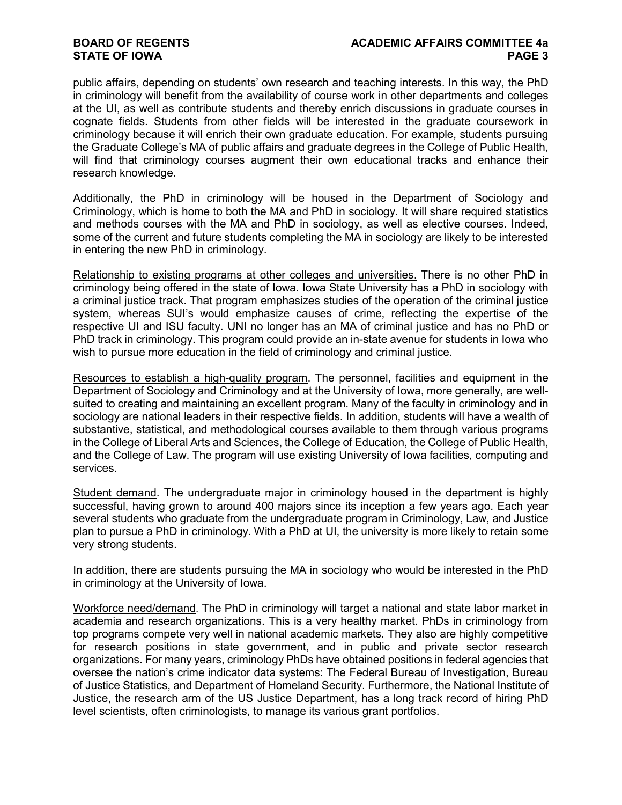public affairs, depending on students' own research and teaching interests. In this way, the PhD in criminology will benefit from the availability of course work in other departments and colleges at the UI, as well as contribute students and thereby enrich discussions in graduate courses in cognate fields. Students from other fields will be interested in the graduate coursework in criminology because it will enrich their own graduate education. For example, students pursuing the Graduate College's MA of public affairs and graduate degrees in the College of Public Health, will find that criminology courses augment their own educational tracks and enhance their research knowledge.

Additionally, the PhD in criminology will be housed in the Department of Sociology and Criminology, which is home to both the MA and PhD in sociology. It will share required statistics and methods courses with the MA and PhD in sociology, as well as elective courses. Indeed, some of the current and future students completing the MA in sociology are likely to be interested in entering the new PhD in criminology.

Relationship to existing programs at other colleges and universities. There is no other PhD in criminology being offered in the state of Iowa. Iowa State University has a PhD in sociology with a criminal justice track. That program emphasizes studies of the operation of the criminal justice system, whereas SUI's would emphasize causes of crime, reflecting the expertise of the respective UI and ISU faculty. UNI no longer has an MA of criminal justice and has no PhD or PhD track in criminology. This program could provide an in-state avenue for students in Iowa who wish to pursue more education in the field of criminology and criminal justice.

Resources to establish a high-quality program. The personnel, facilities and equipment in the Department of Sociology and Criminology and at the University of Iowa, more generally, are wellsuited to creating and maintaining an excellent program. Many of the faculty in criminology and in sociology are national leaders in their respective fields. In addition, students will have a wealth of substantive, statistical, and methodological courses available to them through various programs in the College of Liberal Arts and Sciences, the College of Education, the College of Public Health, and the College of Law. The program will use existing University of Iowa facilities, computing and services.

Student demand. The undergraduate major in criminology housed in the department is highly successful, having grown to around 400 majors since its inception a few years ago. Each year several students who graduate from the undergraduate program in Criminology, Law, and Justice plan to pursue a PhD in criminology. With a PhD at UI, the university is more likely to retain some very strong students.

In addition, there are students pursuing the MA in sociology who would be interested in the PhD in criminology at the University of Iowa.

Workforce need/demand. The PhD in criminology will target a national and state labor market in academia and research organizations. This is a very healthy market. PhDs in criminology from top programs compete very well in national academic markets. They also are highly competitive for research positions in state government, and in public and private sector research organizations. For many years, criminology PhDs have obtained positions in federal agencies that oversee the nation's crime indicator data systems: The Federal Bureau of Investigation, Bureau of Justice Statistics, and Department of Homeland Security. Furthermore, the National Institute of Justice, the research arm of the US Justice Department, has a long track record of hiring PhD level scientists, often criminologists, to manage its various grant portfolios.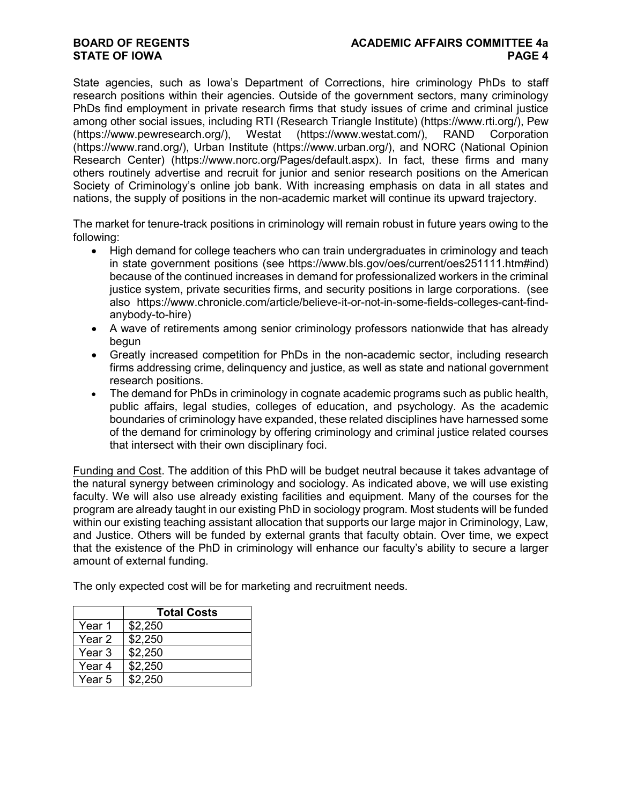State agencies, such as Iowa's Department of Corrections, hire criminology PhDs to staff research positions within their agencies. Outside of the government sectors, many criminology PhDs find employment in private research firms that study issues of crime and criminal justice among other social issues, including RTI (Research Triangle Institute) (https://www.rti.org/), Pew (https://www.pewresearch.org/), Westat (https://www.westat.com/), RAND Corporation (https://www.rand.org/), Urban Institute (https://www.urban.org/), and NORC (National Opinion Research Center) (https://www.norc.org/Pages/default.aspx). In fact, these firms and many others routinely advertise and recruit for junior and senior research positions on the American Society of Criminology's online job bank. With increasing emphasis on data in all states and nations, the supply of positions in the non-academic market will continue its upward trajectory.

The market for tenure-track positions in criminology will remain robust in future years owing to the following:

- High demand for college teachers who can train undergraduates in criminology and teach in state government positions (see https://www.bls.gov/oes/current/oes251111.htm#ind) because of the continued increases in demand for professionalized workers in the criminal justice system, private securities firms, and security positions in large corporations. (see also https://www.chronicle.com/article/believe-it-or-not-in-some-fields-colleges-cant-findanybody-to-hire)
- A wave of retirements among senior criminology professors nationwide that has already begun
- Greatly increased competition for PhDs in the non-academic sector, including research firms addressing crime, delinquency and justice, as well as state and national government research positions.
- The demand for PhDs in criminology in cognate academic programs such as public health, public affairs, legal studies, colleges of education, and psychology. As the academic boundaries of criminology have expanded, these related disciplines have harnessed some of the demand for criminology by offering criminology and criminal justice related courses that intersect with their own disciplinary foci.

Funding and Cost. The addition of this PhD will be budget neutral because it takes advantage of the natural synergy between criminology and sociology. As indicated above, we will use existing faculty. We will also use already existing facilities and equipment. Many of the courses for the program are already taught in our existing PhD in sociology program. Most students will be funded within our existing teaching assistant allocation that supports our large major in Criminology, Law, and Justice. Others will be funded by external grants that faculty obtain. Over time, we expect that the existence of the PhD in criminology will enhance our faculty's ability to secure a larger amount of external funding.

The only expected cost will be for marketing and recruitment needs.

|        | <b>Total Costs</b> |  |  |  |
|--------|--------------------|--|--|--|
| Year 1 | \$2,250            |  |  |  |
| Year 2 | \$2,250            |  |  |  |
| Year 3 | \$2,250            |  |  |  |
| Year 4 | \$2,250            |  |  |  |
| Year 5 | \$2.250            |  |  |  |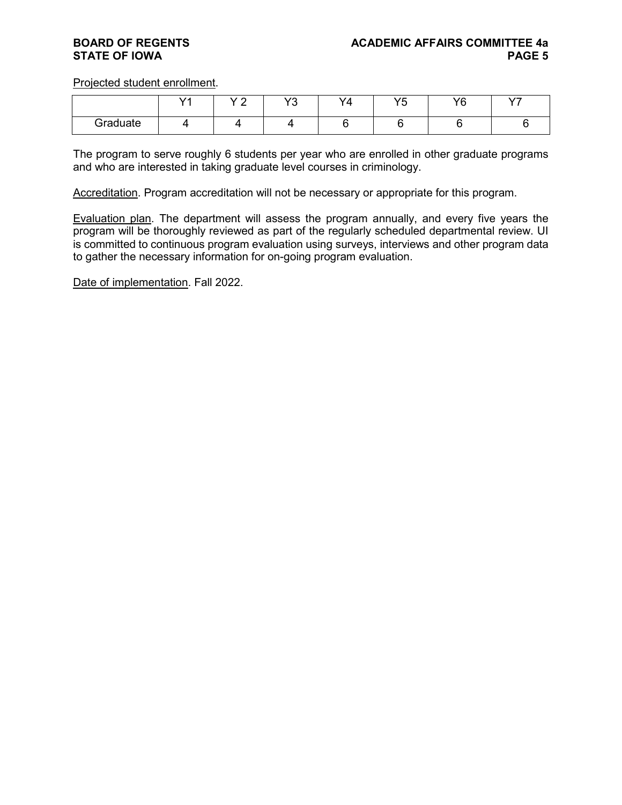Projected student enrollment.

|          | <b>1</b> | $\sqrt{2}$<br>- | <b>VO</b><br>È | $\sqrt{2}$<br>۰Δ | VĘ<br>ັ | VQ | $\rightarrow$ |
|----------|----------|-----------------|----------------|------------------|---------|----|---------------|
| Graduate |          |                 |                |                  |         |    |               |

The program to serve roughly 6 students per year who are enrolled in other graduate programs and who are interested in taking graduate level courses in criminology.

Accreditation. Program accreditation will not be necessary or appropriate for this program.

Evaluation plan. The department will assess the program annually, and every five years the program will be thoroughly reviewed as part of the regularly scheduled departmental review. UI is committed to continuous program evaluation using surveys, interviews and other program data to gather the necessary information for on-going program evaluation.

Date of implementation. Fall 2022.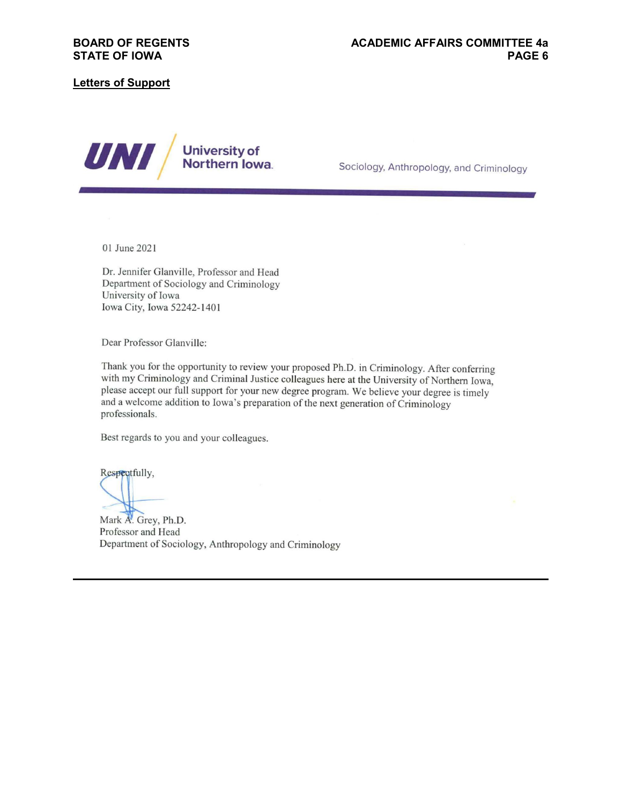### **Letters of Support**



Sociology, Anthropology, and Criminology

01 June 2021

Dr. Jennifer Glanville, Professor and Head Department of Sociology and Criminology University of Iowa Iowa City, Iowa 52242-1401

Dear Professor Glanville:

Thank you for the opportunity to review your proposed Ph.D. in Criminology. After conferring with my Criminology and Criminal Justice colleagues here at the University of Northern Iowa, please accept our full support for your new degree program. We believe your degree is timely and a welcome addition to Iowa's preparation of the next generation of Criminology professionals.

Best regards to you and your colleagues.

Respectfully,

Mark A. Grey, Ph.D. Professor and Head Department of Sociology, Anthropology and Criminology